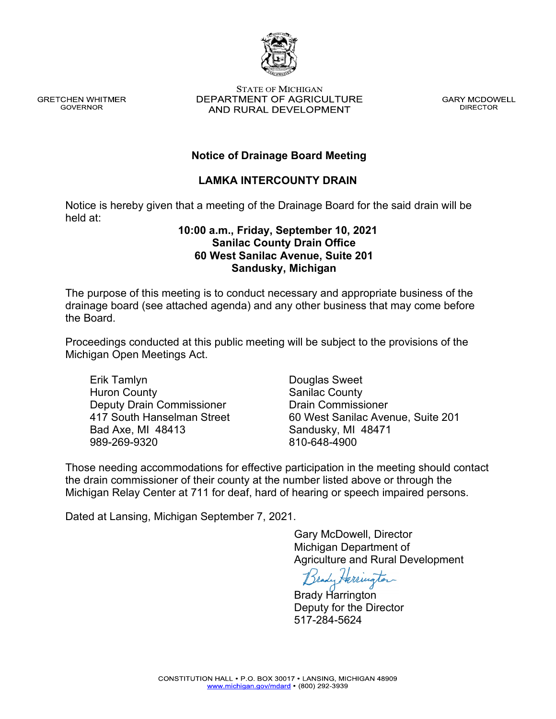

Michigan Department of Agriculture and Rural Development

Brady Harrington Deputy for the Director 517-284-5624

Those needing accommodations for effective participation in the meeting should contact the drain commissioner of their county at the number listed above or through the Michigan Relay Center at 711 for deaf, hard of hearing or speech impaired persons.

> CONSTITUTION HALL . P.O. BOX 30017 . LANSING, MICHIGAN 48909 www.michigan.gov/mdard • (800) 292-3939

Deputy Drain Commissioner 417 South Hanselman Street Bad Axe, MI 48413 989-269-9320 Drain Commissioner 60 West Sanilac Avenue, Suite 201 Sandusky, MI 48471 810-648-4900

Douglas Sweet Sanilac County

Michigan Open Meetings Act.

Erik Tamlyn Huron County

**GRETCHEN WHITMER** 

**GOVERNOR** 

# **Sanilac County Drain Office 60 West Sanilac Avenue, Suite 201 Sandusky, Michigan**

The purpose of this meeting is to conduct necessary and appropriate business of the drainage board (see attached agenda) and any other business that may come before the Board.

Proceedings conducted at this public meeting will be subject to the provisions of the

**LAMKA INTERCOUNTY DRAIN**

**10:00 a.m., Friday, September 10, 2021**

**Notice of Drainage Board Meeting**

Notice is hereby given that a meeting of the Drainage Board for the said drain will be held at:

#### **STATE OF MICHIGAN** DEPARTMENT OF AGRICULTURE AND RURAL DEVELOPMENT

**GARY MCDOWELL DIRECTOR** 

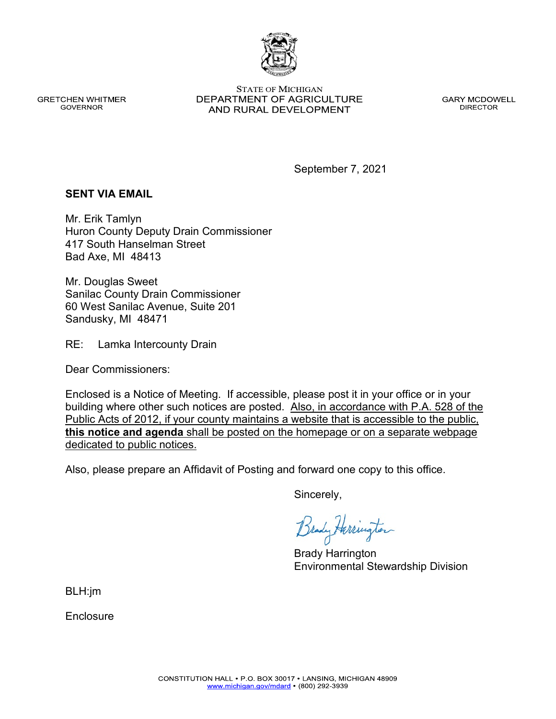www.michigan.gov/mdard • (800) 292-3939

**GRETCHEN WHITMER GOVERNOR** 

**STATE OF MICHIGAN** DEPARTMENT OF AGRICULTURE AND RURAL DEVELOPMENT

**GARY MCDOWELL DIRECTOR** 

September 7, 2021

### **SENT VIA EMAIL**

Mr. Erik Tamlyn Huron County Deputy Drain Commissioner 417 South Hanselman Street Bad Axe, MI 48413

Mr. Douglas Sweet Sanilac County Drain Commissioner 60 West Sanilac Avenue, Suite 201 Sandusky, MI 48471

RE: Lamka Intercounty Drain

Dear Commissioners:

Enclosed is a Notice of Meeting. If accessible, please post it in your office or in your building where other such notices are posted. Also, in accordance with P.A. 528 of the Public Acts of 2012, if your county maintains a website that is accessible to the public, **this notice and agenda** shall be posted on the homepage or on a separate webpage dedicated to public notices.

Also, please prepare an Affidavit of Posting and forward one copy to this office.

Sincerely,

Brady Harrington Environmental Stewardship Division

BLH:jm

**Enclosure**